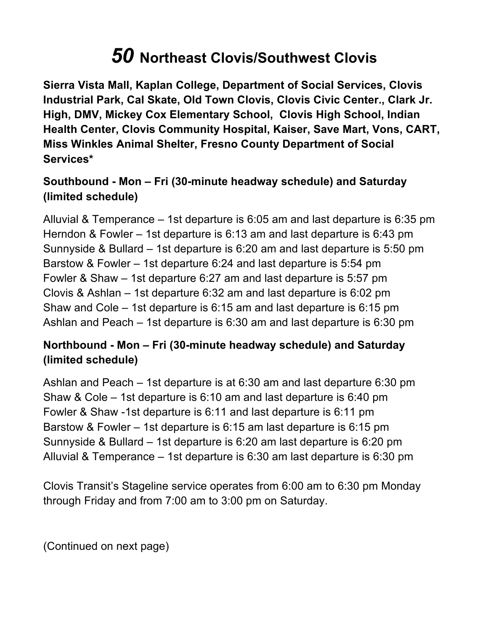## *50* **Northeast Clovis/Southwest Clovis**

 **Sierra Vista Mall, Kaplan College, Department of Social Services, Clovis Industrial Park, Cal Skate, Old Town Clovis, Clovis Civic Center., Clark Jr. High, DMV, Mickey Cox Elementary School, Clovis High School, Indian Health Center, Clovis Community Hospital, Kaiser, Save Mart, Vons, CART, Miss Winkles Animal Shelter, Fresno County Department of Social Services\*** 

## **Southbound - Mon – Fri (30-minute headway schedule) and Saturday (limited schedule)**

 Alluvial & Temperance – 1st departure is 6:05 am and last departure is 6:35 pm Herndon & Fowler – 1st departure is 6:13 am and last departure is 6:43 pm Sunnyside & Bullard – 1st departure is 6:20 am and last departure is 5:50 pm Barstow & Fowler – 1st departure 6:24 and last departure is 5:54 pm Fowler & Shaw – 1st departure 6:27 am and last departure is 5:57 pm Clovis & Ashlan – 1st departure 6:32 am and last departure is 6:02 pm Shaw and Cole – 1st departure is 6:15 am and last departure is 6:15 pm Ashlan and Peach – 1st departure is 6:30 am and last departure is 6:30 pm

## **Northbound - Mon – Fri (30-minute headway schedule) and Saturday (limited schedule)**

 Ashlan and Peach – 1st departure is at 6:30 am and last departure 6:30 pm Shaw & Cole – 1st departure is 6:10 am and last departure is 6:40 pm Fowler & Shaw -1st departure is 6:11 and last departure is 6:11 pm Barstow & Fowler – 1st departure is 6:15 am last departure is 6:15 pm Sunnyside & Bullard – 1st departure is 6:20 am last departure is 6:20 pm Alluvial & Temperance – 1st departure is 6:30 am last departure is 6:30 pm

 Clovis Transit's Stageline service operates from 6:00 am to 6:30 pm Monday through Friday and from 7:00 am to 3:00 pm on Saturday.

(Continued on next page)